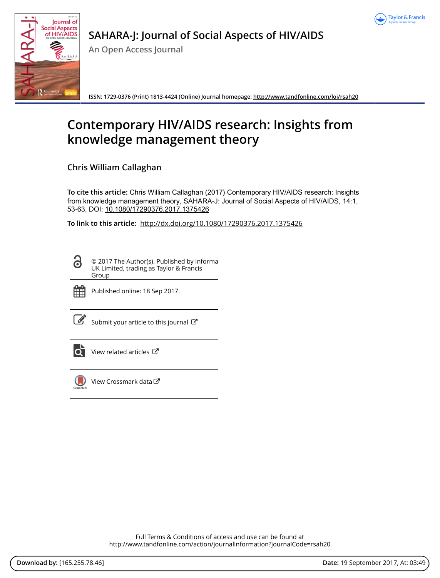



**SAHARA-J: Journal of Social Aspects of HIV/AIDS**

**An Open Access Journal**

**ISSN: 1729-0376 (Print) 1813-4424 (Online) Journal homepage:<http://www.tandfonline.com/loi/rsah20>**

# **Contemporary HIV/AIDS research: Insights from knowledge management theory**

**Chris William Callaghan**

**To cite this article:** Chris William Callaghan (2017) Contemporary HIV/AIDS research: Insights from knowledge management theory, SAHARA-J: Journal of Social Aspects of HIV/AIDS, 14:1, 53-63, DOI: [10.1080/17290376.2017.1375426](http://www.tandfonline.com/action/showCitFormats?doi=10.1080/17290376.2017.1375426)

**To link to this article:** <http://dx.doi.org/10.1080/17290376.2017.1375426>

© 2017 The Author(s). Published by Informa UK Limited, trading as Taylor & Francis Group



<u>යි</u>

Published online: 18 Sep 2017.

[Submit your article to this journal](http://www.tandfonline.com/action/authorSubmission?journalCode=rsah20&show=instructions)  $\mathbb{Z}$ 



[View related articles](http://www.tandfonline.com/doi/mlt/10.1080/17290376.2017.1375426)  $\mathbb{Z}$ 



[View Crossmark data](http://crossmark.crossref.org/dialog/?doi=10.1080/17290376.2017.1375426&domain=pdf&date_stamp=2017-09-18)

Full Terms & Conditions of access and use can be found at <http://www.tandfonline.com/action/journalInformation?journalCode=rsah20>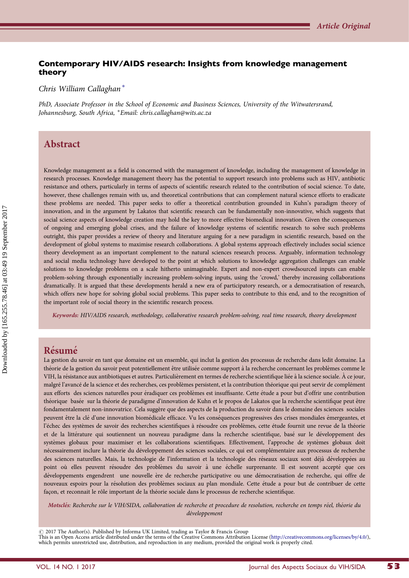#### Contemporary HIV/AIDS research: Insights from knowledge management theory

Chris William Callaghan <sup>∗</sup>

PhD, Associate Professor in the School of Economic and Business Sciences, University of the Witwatersrand, Johannesburg, South Africa, <sup>∗</sup>Email: [chris.callaghan@wits.ac.za](mailto:chris.callaghan@wits.ac.za)

### Abstract

Knowledge management as a field is concerned with the management of knowledge, including the management of knowledge in research processes. Knowledge management theory has the potential to support research into problems such as HIV, antibiotic resistance and others, particularly in terms of aspects of scientific research related to the contribution of social science. To date, however, these challenges remain with us, and theoretical contributions that can complement natural science efforts to eradicate these problems are needed. This paper seeks to offer a theoretical contribution grounded in Kuhn's paradigm theory of innovation, and in the argument by Lakatos that scientific research can be fundamentally non-innovative, which suggests that social science aspects of knowledge creation may hold the key to more effective biomedical innovation. Given the consequences of ongoing and emerging global crises, and the failure of knowledge systems of scientific research to solve such problems outright, this paper provides a review of theory and literature arguing for a new paradigm in scientific research, based on the development of global systems to maximise research collaborations. A global systems approach effectively includes social science theory development as an important complement to the natural sciences research process. Arguably, information technology and social media technology have developed to the point at which solutions to knowledge aggregation challenges can enable solutions to knowledge problems on a scale hitherto unimaginable. Expert and non-expert crowdsourced inputs can enable problem-solving through exponentially increasing problem-solving inputs, using the 'crowd,' thereby increasing collaborations dramatically. It is argued that these developments herald a new era of participatory research, or a democratisation of research, which offers new hope for solving global social problems. This paper seeks to contribute to this end, and to the recognition of the important role of social theory in the scientific research process.

Keywords: HIV/AIDS research, methodology, collaborative research problem-solving, real time research, theory development

#### Résumé

La gestion du savoir en tant que domaine est un ensemble, qui inclut la gestion des processus de recherche dans ledit domaine. La théorie de la gestion du savoir peut potentiellement être utilisée comme support à la recherche concernant les problèmes comme le VIH, la résistance aux antibiotiques et autres. Particulièrement en termes de recherche scientifique liée à la science sociale. A ce jour, malgré l'avancé de la science et des recherches, ces problèmes persistent, et la contribution théorique qui peut servir de complément aux efforts des sciences naturelles pour éradiquer ces problèmes est insuffisante. Cette étude a pour but d'offrir une contribution théorique basée sur la théorie de paradigme d'innovation de Kuhn et le propos de Lakatos que la recherche scientifique peut être fondamentalement non-innovatrice. Cela suggère que des aspects de la production du savoir dans le domaine des sciences sociales peuvent être la clé d'une innovation biomédicale efficace. Vu les conséquences progressives des crises mondiales émergeantes, et l'échec des systèmes de savoir des recherches scientifiques à résoudre ces problèmes, cette étude fournit une revue de la théorie et de la littérature qui soutiennent un nouveau paradigme dans la recherche scientifique, basé sur le développement des systèmes globaux pour maximiser et les collaborations scientifiques. Effectivement, l'approche de systèmes globaux doit nécessairement inclure la théorie du développement des sciences sociales, ce qui est complémentaire aux processus de recherche des sciences naturelles. Mais, la technologie de l'information et la technologie des réseaux sociaux sont déjà développées au point où elles peuvent résoudre des problèmes du savoir à une échelle surprenante. Il est souvent accepté que ces développements engendrent une nouvelle ère de recherche participative ou une démocratisation de recherche, qui offre de nouveaux espoirs pour la résolution des problèmes sociaux au plan mondiale. Cette étude a pour but de contribuer de cette façon, et reconnait le rôle important de la théorie sociale dans le processus de recherche scientifique.

Motsclés: Recherche sur le VIH/SIDA, collaboration de recherche et procedure de resolution, recherche en temps réel, théorie du développement

 $\odot$  2017 The Author(s). Published by Informa UK Limited, trading as Taylor & Francis Group

This is an Open Access article distributed under the terms of the Creative Commons Attribution License ([http://creativecommons.org/licenses/by/4.0/\)](http://creativecommons.org/licenses/by/4.0/), which permits unrestricted use, distribution, and reproduction in any medium, provided the original work is properly cited.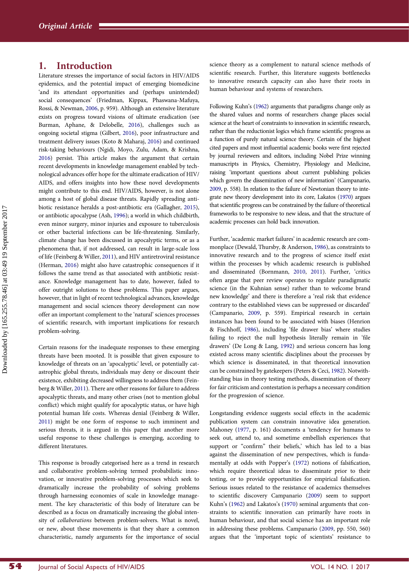#### <span id="page-2-0"></span>1. Introduction

Literature stresses the importance of social factors in HIV/AIDS epidemics, and the potential impact of emerging biomedicine 'and its attendant opportunities and (perhaps unintended) social consequences' (Friedman, Kippax, Phaswana-Mafuya, Rossi, & Newman, [2006,](#page-11-0) p. 959). Although an extensive literature exists on progress toward visions of ultimate eradication (see Burman, Aphane, & Delobelle, [2016](#page-10-0)), challenges such as ongoing societal stigma (Gilbert, [2016\)](#page-11-0), poor infrastructure and treatment delivery issues (Koto & Maharaj, [2016](#page-11-0)) and continued risk-taking behaviours (Ngidi, Moyo, Zulu, Adam, & Krishna, [2016](#page-11-0)) persist. This article makes the argument that certain recent developments in knowledge management enabled by technological advances offer hope for the ultimate eradication of HIV/ AIDS, and offers insights into how these novel developments might contribute to this end. HIV/AIDS, however, is not alone among a host of global disease threats. Rapidly spreading antibiotic resistance heralds a post-antibiotic era (Gallagher, [2015](#page-11-0)), or antibiotic apocalypse (Ash, [1996\)](#page-10-0); a world in which childbirth, even minor surgery, minor injuries and exposure to tuberculosis or other bacterial infections can be life-threatening. Similarly, climate change has been discussed in apocalyptic terms, or as a phenomena that, if not addressed, can result in large-scale loss of life (Feinberg & Willer, [2011\)](#page-11-0), and HIV antiretroviral resistance (Herman, [2016](#page-11-0)) might also have catastrophic consequences if it follows the same trend as that associated with antibiotic resistance. Knowledge management has to date, however, failed to offer outright solutions to these problems. This paper argues, however, that in light of recent technological advances, knowledge management and social sciences theory development can now offer an important complement to the 'natural' sciences processes of scientific research, with important implications for research problem-solving.

Certain reasons for the inadequate responses to these emerging threats have been mooted. It is possible that given exposure to knowledge of threats on an 'apocalyptic' level, or potentially catastrophic global threats, individuals may deny or discount their existence, exhibiting decreased willingness to address them (Feinberg & Willer, [2011](#page-11-0)). There are other reasons for failure to address apocalyptic threats, and many other crises (not to mention global conflict) which might qualify for apocalyptic status, or have high potential human life costs. Whereas denial (Feinberg & Willer, [2011](#page-11-0)) might be one form of response to such imminent and serious threats, it is argued in this paper that another more useful response to these challenges is emerging, according to different literatures.

This response is broadly categorised here as a trend in research and collaborative problem-solving termed probabilistic innovation, or innovative problem-solving processes which seek to dramatically increase the probability of solving problems through harnessing economies of scale in knowledge management. The key characteristic of this body of literature can be described as a focus on dramatically increasing the global intensity of collaborations between problem-solvers. What is novel, or new, about these movements is that they share a common characteristic, namely arguments for the importance of social

science theory as a complement to natural science methods of scientific research. Further, this literature suggests bottlenecks to innovative research capacity can also have their roots in human behaviour and systems of researchers.

Following Kuhn's [\(1962](#page-11-0)) arguments that paradigms change only as the shared values and norms of researchers change places social science at the heart of constraints to innovation in scientific research, rather than the reductionist logics which frame scientific progress as a function of purely natural science theory. Certain of the highest cited papers and most influential academic books were first rejected by journal reviewers and editors, including Nobel Prize winning manuscripts in Physics, Chemistry, Physiology and Medicine, raising 'important questions about current publishing policies which govern the dissemination of new information' (Campanario, [2009,](#page-11-0) p. 558). In relation to the failure of Newtonian theory to integrate new theory development into its core, Lakatos [\(1970\)](#page-11-0) argues that scientific progress can be constrained by the failure of theoretical frameworks to be responsive to new ideas, and that the structure of academic processes can hold back innovation.

Further, 'academic market failures' in academic research are commonplace (Dewald, Thursby, & Anderson, [1986\)](#page-11-0), as constraints to innovative research and to the progress of science itself exist within the processes by which academic research is published and disseminated (Bornmann, [2010,](#page-10-0) [2011\)](#page-10-0). Further, 'critics often argue that peer review operates to regulate paradigmatic science (in the Kuhnian sense) rather than to welcome brand new knowledge' and there is therefore a 'real risk that evidence contrary to the established views can be suppressed or discarded' (Campanario, [2009](#page-11-0), p. 559). Empirical research in certain instances has been found to be associated with biases (Henrion & Fischhoff, [1986](#page-11-0)), including 'file drawer bias' where studies failing to reject the null hypothesis literally remain in 'file drawers' (De Long & Lang, [1992\)](#page-11-0) and serious concern has long existed across many scientific disciplines about the processes by which science is disseminated, in that theoretical innovation can be constrained by gatekeepers (Peters & Ceci, [1982](#page-11-0)). Notwithstanding bias in theory testing methods, dissemination of theory for fair criticism and contestation is perhaps a necessary condition for the progression of science.

Longstanding evidence suggests social effects in the academic publication system can constrain innovative idea generation. Mahoney ([1977,](#page-11-0) p. 161) documents a 'tendency for humans to seek out, attend to, and sometime embellish experiences that support or "confirm" their beliefs,' which has led to a bias against the dissemination of new perspectives, which is fundamentally at odds with Popper's ([1972\)](#page-11-0) notions of falsification, which require theoretical ideas to disseminate prior to their testing, or to provide opportunities for empirical falsification. Serious issues related to the resistance of academics themselves to scientific discovery Campanario [\(2009\)](#page-11-0) seem to support Kuhn's [\(1962](#page-11-0)) and Lakatos's [\(1970](#page-11-0)) seminal arguments that constraints to scientific innovation can primarily have roots in human behaviour, and that social science has an important role in addressing these problems. Campanario [\(2009](#page-11-0), pp. 550, 560) argues that the 'important topic of scientists' resistance to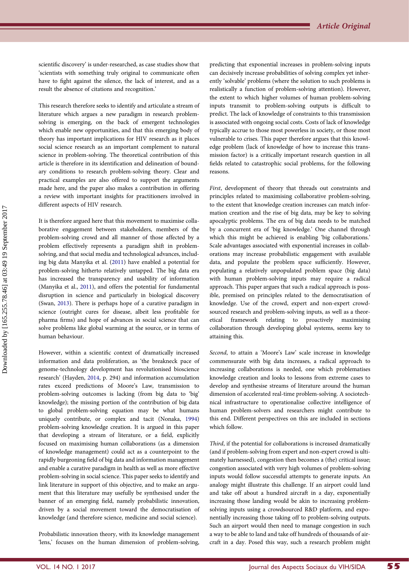<span id="page-3-0"></span>scientific discovery' is under-researched, as case studies show that 'scientists with something truly original to communicate often have to fight against the silence, the lack of interest, and as a result the absence of citations and recognition.'

This research therefore seeks to identify and articulate a stream of literature which argues a new paradigm in research problemsolving is emerging, on the back of emergent technologies which enable new opportunities, and that this emerging body of theory has important implications for HIV research as it places social science research as an important complement to natural science in problem-solving. The theoretical contribution of this article is therefore in its identification and delineation of boundary conditions to research problem-solving theory. Clear and practical examples are also offered to support the arguments made here, and the paper also makes a contribution in offering a review with important insights for practitioners involved in different aspects of HIV research.

It is therefore argued here that this movement to maximise collaborative engagement between stakeholders, members of the problem-solving crowd and all manner of those affected by a problem effectively represents a paradigm shift in problemsolving, and that social media and technological advances, including big data Manyika et al. ([2011](#page-11-0)) have enabled a potential for problem-solving hitherto relatively untapped. The big data era has increased the transparency and usability of information (Manyika et al., [2011\)](#page-11-0), and offers the potential for fundamental disruption in science and particularly in biological discovery (Swan, [2013\)](#page-11-0). There is perhaps hope of a curative paradigm in science (outright cures for disease, albeit less profitable for pharma firms) and hope of advances in social science that can solve problems like global warming at the source, or in terms of human behaviour.

However, within a scientific context of dramatically increased information and data proliferation, as 'the breakneck pace of genome-technology development has revolutionised bioscience research' (Hayden, [2014,](#page-11-0) p. 294) and information accumulation rates exceed predictions of Moore's Law, transmission to problem-solving outcomes is lacking (from big data to 'big' knowledge); the missing portion of the contribution of big data to global problem-solving equation may be what humans uniquely contribute, or complex and tacit (Nonaka, [1994](#page-11-0)) problem-solving knowledge creation. It is argued in this paper that developing a stream of literature, or a field, explicitly focused on maximising human collaborations (as a dimension of knowledge management) could act as a counterpoint to the rapidly burgeoning field of big data and information management and enable a curative paradigm in health as well as more effective problem-solving in social science. This paper seeks to identify and link literature in support of this objective, and to make an argument that this literature may usefully be synthesised under the banner of an emerging field, namely probabilistic innovation, driven by a social movement toward the democratisation of knowledge (and therefore science, medicine and social science).

Probabilistic innovation theory, with its knowledge management 'lens,' focuses on the human dimension of problem-solving, predicting that exponential increases in problem-solving inputs can decisively increase probabilities of solving complex yet inherently 'solvable' problems (where the solution to such problems is realistically a function of problem-solving attention). However, the extent to which higher volumes of human problem-solving inputs transmit to problem-solving outputs is difficult to predict. The lack of knowledge of constraints to this transmission is associated with ongoing social costs. Costs of lack of knowledge typically accrue to those most powerless in society, or those most vulnerable to crises. This paper therefore argues that this knowledge problem (lack of knowledge of how to increase this transmission factor) is a critically important research question in all fields related to catastrophic social problems, for the following reasons.

First, development of theory that threads out constraints and principles related to maximising collaborative problem-solving, to the extent that knowledge creation increases can match information creation and the rise of big data, may be key to solving apocalyptic problems. The era of big data needs to be matched by a concurrent era of 'big knowledge.' One channel through which this might be achieved is enabling 'big collaborations.' Scale advantages associated with exponential increases in collaborations may increase probabilistic engagement with available data, and populate the problem space sufficiently. However, populating a relatively unpopulated problem space (big data) with human problem-solving inputs may require a radical approach. This paper argues that such a radical approach is possible, premised on principles related to the democratisation of knowledge. Use of the crowd, expert and non-expert crowdsourced research and problem-solving inputs, as well as a theoretical framework relating to proactively maximising collaboration through developing global systems, seems key to attaining this.

Second, to attain a 'Moore's Law' scale increase in knowledge commensurate with big data increases, a radical approach to increasing collaborations is needed, one which problematises knowledge creation and looks to lessons from extreme cases to develop and synthesise streams of literature around the human dimension of accelerated real-time problem-solving. A sociotechnical infrastructure to operationalise collective intelligence of human problem-solvers and researchers might contribute to this end. Different perspectives on this are included in sections which follow.

Third, if the potential for collaborations is increased dramatically (and if problem-solving from expert and non-expert crowd is ultimately harnessed), congestion then becomes a (the) critical issue; congestion associated with very high volumes of problem-solving inputs would follow successful attempts to generate inputs. An analogy might illustrate this challenge. If an airport could land and take off about a hundred aircraft in a day, exponentially increasing those landing would be akin to increasing problemsolving inputs using a crowdsourced R&D platform, and exponentially increasing those taking off to problem-solving outputs. Such an airport would then need to manage congestion in such a way to be able to land and take off hundreds of thousands of aircraft in a day. Posed this way, such a research problem might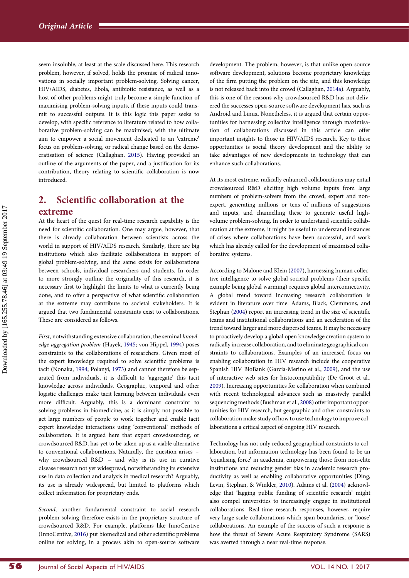<span id="page-4-0"></span>seem insoluble, at least at the scale discussed here. This research problem, however, if solved, holds the promise of radical innovations in socially important problem-solving. Solving cancer, HIV/AIDS, diabetes, Ebola, antibiotic resistance, as well as a host of other problems might truly become a simple function of maximising problem-solving inputs, if these inputs could transmit to successful outputs. It is this logic this paper seeks to develop, with specific reference to literature related to how collaborative problem-solving can be maximised; with the ultimate aim to empower a social movement dedicated to an 'extreme' focus on problem-solving, or radical change based on the democratisation of science (Callaghan, [2015\)](#page-11-0). Having provided an outline of the arguments of the paper, and a justification for its contribution, theory relating to scientific collaboration is now introduced.

## 2. Scientific collaboration at the extreme

At the heart of the quest for real-time research capability is the need for scientific collaboration. One may argue, however, that there is already collaboration between scientists across the world in support of HIV/AIDS research. Similarly, there are big institutions which also facilitate collaborations in support of global problem-solving, and the same exists for collaborations between schools, individual researchers and students. In order to more strongly outline the originality of this research, it is necessary first to highlight the limits to what is currently being done, and to offer a perspective of what scientific collaboration at the extreme may contribute to societal stakeholders. It is argued that two fundamental constraints exist to collaborations. These are considered as follows.

First, notwithstanding extensive collaboration, the seminal knowledge aggregation problem (Hayek, [1945;](#page-11-0) von Hippel, [1994\)](#page-11-0) poses constraints to the collaborations of researchers. Given most of the expert knowledge required to solve scientific problems is tacit (Nonaka, [1994](#page-11-0); Polanyi, [1973\)](#page-11-0) and cannot therefore be separated from individuals, it is difficult to 'aggregate' this tacit knowledge across individuals. Geographic, temporal and other logistic challenges make tacit learning between individuals even more difficult. Arguably, this is a dominant constraint to solving problems in biomedicine, as it is simply not possible to get large numbers of people to work together and enable tacit expert knowledge interactions using 'conventional' methods of collaboration. It is argued here that expert crowdsourcing, or crowdsourced R&D, has yet to be taken up as a viable alternative to conventional collaborations. Naturally, the question arises – why crowdsourced R&D – and why is its use in curative disease research not yet widespread, notwithstanding its extensive use in data collection and analysis in medical research? Arguably, its use is already widespread, but limited to platforms which collect information for proprietary ends.

Second, another fundamental constraint to social research problem-solving therefore exists in the proprietary structure of crowdsourced R&D. For example, platforms like InnoCentive (InnoCentive, [2016](#page-11-0)) put biomedical and other scientific problems online for solving, in a process akin to open-source software development. The problem, however, is that unlike open-source software development, solutions become proprietary knowledge of the firm putting the problem on the site, and this knowledge is not released back into the crowd (Callaghan, [2014a\)](#page-11-0). Arguably, this is one of the reasons why crowdsourced R&D has not delivered the successes open-source software development has, such as Android and Linux. Nonetheless, it is argued that certain opportunities for harnessing collective intelligence through maximisation of collaborations discussed in this article can offer important insights to those in HIV/AIDS research. Key to these opportunities is social theory development and the ability to take advantages of new developments in technology that can enhance such collaborations.

At its most extreme, radically enhanced collaborations may entail crowdsourced R&D eliciting high volume inputs from large numbers of problem-solvers from the crowd, expert and nonexpert, generating millions or tens of millions of suggestions and inputs, and channelling these to generate useful highvolume problem-solving. In order to understand scientific collaboration at the extreme, it might be useful to understand instances of crises where collaborations have been successful, and work which has already called for the development of maximised collaborative systems.

According to Malone and Klein [\(2007](#page-11-0)), harnessing human collective intelligence to solve global societal problems (their specific example being global warming) requires global interconnectivity. A global trend toward increasing research collaboration is evident in literature over time. Adams, Black, Clemmons, and Stephan ([2004\)](#page-10-0) report an increasing trend in the size of scientific teams and institutional collaborations and an acceleration of the trend toward larger and more dispersed teams. It may be necessary to proactively develop a global open knowledge creation system to radically increase collaboration, and to eliminate geographical constraints to collaborations. Examples of an increased focus on enabling collaboration in HIV research include the cooperative Spanish HIV BioBank (Garcia-Merino et al., [2009\)](#page-11-0), and the use of interactive web sites for histocompatibility (De Groot et al., [2009](#page-11-0)). Increasing opportunities for collaboration when combined with recent technological advances such as massively parallel sequencing methods (Bushman et al., [2008](#page-10-0)) offer important opportunities for HIV research, but geographic and other constraints to collaboration make study of how to use technology to improve collaborations a critical aspect of ongoing HIV research.

Technology has not only reduced geographical constraints to collaboration, but information technology has been found to be an 'equalising force' in academia, empowering those from non-elite institutions and reducing gender bias in academic research productivity as well as enabling collaborative opportunities (Ding, Levin, Stephan, & Winkler, [2010](#page-11-0)). Adams et al. [\(2004](#page-10-0)) acknowledge that 'lagging public funding of scientific research' might also compel universities to increasingly engage in institutional collaborations. Real-time research responses, however, require very large-scale collaborations which span boundaries, or 'loose' collaborations. An example of the success of such a response is how the threat of Severe Acute Respiratory Syndrome (SARS) was averted through a near real-time response.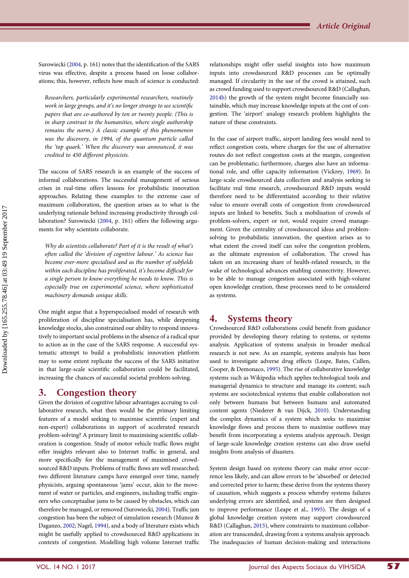<span id="page-5-0"></span>Surowiecki [\(2004,](#page-11-0) p. 161) notes that the identification of the SARS virus was effective, despite a process based on loose collaborations; this, however, reflects how much of science is conducted:

Researchers, particularly experimental researchers, routinely work in large groups, and it's no longer strange to see scientific papers that are co-authored by ten or twenty people. (This is in sharp contrast to the humanities, where single authorship remains the norm.) A classic example of this phenomenon was the discovery, in 1994, of the quantum particle called the 'top quark.' When the discovery was announced, it was credited to 450 different physicists.

The success of SARS research is an example of the success of informal collaborations. The successful management of serious crises in real-time offers lessons for probabilistic innovation approaches. Relating these examples to the extreme case of maximum collaboration, the question arises as to what is the underlying rationale behind increasing productivity through collaboration? Surowiecki [\(2004](#page-11-0), p. 161) offers the following arguments for why scientists collaborate.

Why do scientists collaborate? Part of it is the result of what's often called the 'division of cognitive labour.' As science has become ever-more specialised and as the number of subfields within each discipline has proliferated, it's become difficult for a single person to know everything he needs to know. This is especially true on experimental science, where sophisticated machinery demands unique skills.

One might argue that a hyperspecialised model of research with proliferation of discipline specialisation has, while deepening knowledge stocks, also constrained our ability to respond innovatively to important social problems in the absence of a radical spur to action as in the case of the SARS response. A successful systematic attempt to build a probabilistic innovation platform may to some extent replicate the success of the SARS initiative in that large-scale scientific collaboration could be facilitated, increasing the chances of successful societal problem-solving.

#### 3. Congestion theory

Given the division of cognitive labour advantages accruing to collaborative research, what then would be the primary limiting features of a model seeking to maximise scientific (expert and non-expert) collaborations in support of accelerated research problem-solving? A primary limit to maximising scientific collaboration is congestion. Study of motor vehicle traffic flows might offer insights relevant also to Internet traffic in general, and more specifically for the management of maximised crowdsourced R&D inputs. Problems of traffic flows are well researched; two different literature camps have emerged over time, namely physicists, arguing spontaneous 'jams' occur, akin to the movement of water or particles, and engineers, including traffic engineers who conceptualise jams to be caused by obstacles, which can therefore be managed, or removed (Surowiecki, [2004\)](#page-11-0). Traffic jam congestion has been the subject of simulation research (Munoz & Daganzo, [2002;](#page-11-0) Nagel, [1994\)](#page-11-0), and a body of literature exists which might be usefully applied to crowdsourced R&D applications in contexts of congestion. Modelling high volume Internet traffic

relationships might offer useful insights into how maximum inputs into crowdsourced R&D processes can be optimally managed. If circularity in the use of the crowd is attained, such as crowd funding used to support crowdsourced R&D (Callaghan, [2014b\)](#page-11-0) the growth of the system might become financially sustainable, which may increase knowledge inputs at the cost of congestion. The 'airport' analogy research problem highlights the nature of these constraints.

In the case of airport traffic, airport landing fees would need to reflect congestion costs, where charges for the use of alternative routes do not reflect congestion costs at the margin, congestion can be problematic; furthermore, charges also have an informational role, and offer capacity information (Vickrey, [1969](#page-11-0)). In large-scale crowdsourced data collection and analysis seeking to facilitate real time research, crowdsourced R&D inputs would therefore need to be differentiated according to their relative value to ensure overall costs of congestion from crowdsourced inputs are linked to benefits. Such a mobilisation of crowds of problem-solvers, expert or not, would require crowd management. Given the centrality of crowdsourced ideas and problemsolving to probabilistic innovation, the question arises as to what extent the crowd itself can solve the congestion problem, as the ultimate expression of collaboration. The crowd has taken on an increasing share of health-related research, in the wake of technological advances enabling connectivity. However, to be able to manage congestion associated with high-volume open knowledge creation, these processes need to be considered as systems.

### 4. Systems theory

Crowdsourced R&D collaborations could benefit from guidance provided by developing theory relating to systems, or systems analysis. Application of systems analysis in broader medical research is not new. As an example, systems analysis has been used to investigate adverse drug effects (Leape, Bates, Cullen, Cooper, & Demonaco, [1995](#page-11-0)). The rise of collaborative knowledge systems such as Wikipedia which applies technological tools and managerial dynamics to structure and manage its content; such systems are sociotechnical systems that enable collaboration not only between humans but between humans and automated content agents (Niederer & van Dijck, [2010](#page-11-0)). Understanding the complex dynamics of a system which seeks to maximise knowledge flows and process them to maximise outflows may benefit from incorporating a systems analysis approach. Design of large-scale knowledge creation systems can also draw useful insights from analysis of disasters.

System design based on systems theory can make error occurrence less likely, and can allow errors to be 'absorbed' or detected and corrected prior to harm; these derive from the systems theory of causation, which suggests a process whereby systems failures underlying errors are identified, and systems are then designed to improve performance (Leape et al., [1995\)](#page-11-0). The design of a global knowledge creation system may support crowdsourced R&D (Callaghan, [2015](#page-11-0)), where constraints to maximum collaboration are transcended, drawing from a systems analysis approach. The inadequacies of human decision-making and interactions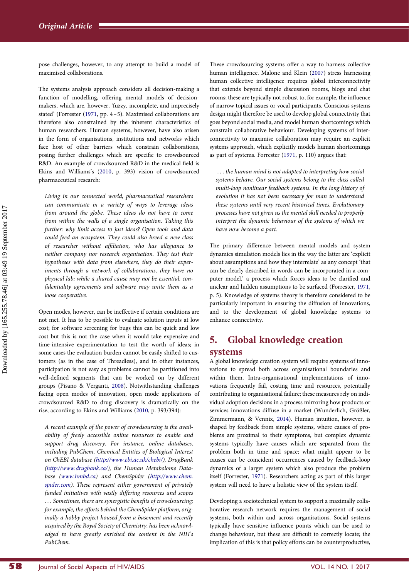<span id="page-6-0"></span>pose challenges, however, to any attempt to build a model of maximised collaborations.

The systems analysis approach considers all decision-making a function of modelling, offering mental models of decisionmakers, which are, however, 'fuzzy, incomplete, and imprecisely stated' (Forrester ([1971,](#page-11-0) pp. 4–5). Maximised collaborations are therefore also constrained by the inherent characteristics of human researchers. Human systems, however, have also arisen in the form of organisations, institutions and networks which face host of other barriers which constrain collaborations, posing further challenges which are specific to crowdsourced R&D. An example of crowdsourced R&D in the medical field is Ekins and Williams's ([2010](#page-11-0), p. 393) vision of crowdsourced pharmaceutical research:

Living in our connected world, pharmaceutical researchers can communicate in a variety of ways to leverage ideas from around the globe. These ideas do not have to come from within the walls of a single organisation. Taking this further: why limit access to just ideas? Open tools and data could feed an ecosystem. They could also breed a new class of researcher without affiliation, who has allegiance to neither company nor research organisation. They test their hypotheses with data from elsewhere, they do their experiments through a network of collaborations, they have no physical lab; while a shared cause may not be essential, confidentiality agreements and software may unite them as a loose cooperative.

Open modes, however, can be ineffective if certain conditions are not met. It has to be possible to evaluate solution inputs at low cost; for software screening for bugs this can be quick and low cost but this is not the case when it would take expensive and time-intensive experimentation to test the worth of ideas; in some cases the evaluation burden cannot be easily shifted to customers (as in the case of Threadless), and in other instances, participation is not easy as problems cannot be partitioned into well-defined segments that can be worked on by different groups (Pisano & Verganti, [2008](#page-11-0)). Notwithstanding challenges facing open modes of innovation, open mode applications of crowdsourced R&D to drug discovery is dramatically on the rise, according to Ekins and Williams [\(2010,](#page-11-0) p. 393/394):

A recent example of the power of crowdsourcing is the availability of freely accessible online resources to enable and support drug discovery. For instance, online databases, including PubChem, Chemical Entities of Biological Interest on ChEBI database ([http://www.ebi.ac.uk/chebi/\)](http://www.ebi.ac.uk/chebi/), DrugBank [\(http://www.drugbank.ca/\)](http://www.drugbank.ca/), the Human Metabolome Database ([www.hmbd.ca](http://www.hmbd.ca)) and ChemSpider [\(http://www.chem.](http://www.chem.spider.com) [spider.com\)](http://www.chem.spider.com). These represent either government of privately funded initiatives with vastly differing resources and scopes ... Sometimes, there are synergistic benefits of crowdsourcing; for example, the efforts behind the ChemSpider platform, originally a hobby project housed from a basement and recently acquired by the Royal Society of Chemistry, has been acknowledged to have greatly enriched the content in the NIH's PubChem.

These crowdsourcing systems offer a way to harness collective human intelligence. Malone and Klein ([2007](#page-11-0)) stress harnessing human collective intelligence requires global interconnectivity that extends beyond simple discussion rooms, blogs and chat rooms; these are typically not robust to, for example, the influence of narrow topical issues or vocal participants. Conscious systems design might therefore be used to develop global connectivity that goes beyond social media, and model human shortcomings which constrain collaborative behaviour. Developing systems of interconnectivity to maximise collaboration may require an explicit systems approach, which explicitly models human shortcomings as part of systems. Forrester ([1971](#page-11-0), p. 110) argues that:

... the human mind is not adapted to interpreting how social systems behave. Our social systems belong to the class called multi-loop nonlinear feedback systems. In the long history of evolution it has not been necessary for man to understand these systems until very recent historical times. Evolutionary processes have not given us the mental skill needed to properly interpret the dynamic behaviour of the systems of which we have now become a part.

The primary difference between mental models and system dynamics simulation models lies in the way the latter are 'explicit about assumptions and how they interrelate' as any concept 'that can be clearly described in words can be incorporated in a computer model,' a process which forces ideas to be clarified and unclear and hidden assumptions to be surfaced (Forrester, [1971](#page-11-0), p. 5). Knowledge of systems theory is therefore considered to be particularly important in ensuring the diffusion of innovations, and to the development of global knowledge systems to enhance connectivity.

## 5. Global knowledge creation systems

A global knowledge creation system will require systems of innovations to spread both across organisational boundaries and within them. Intra-organisational implementations of innovations frequently fail, costing time and resources, potentially contributing to organisational failure; these measures rely on individual adoption decisions in a process mirroring how products or services innovations diffuse in a market (Wunderlich, Größler, Zimmermann, & Vennix, [2014](#page-11-0)). Human intuition, however, is shaped by feedback from simple systems, where causes of problems are proximal to their symptoms, but complex dynamic systems typically have causes which are separated from the problem both in time and space; what might appear to be causes can be coincident occurrences caused by feedback-loop dynamics of a larger system which also produce the problem itself (Forrester, [1971\)](#page-11-0). Researchers acting as part of this larger system will need to have a holistic view of the system itself.

Developing a sociotechnical system to support a maximally collaborative research network requires the management of social systems, both within and across organisations. Social systems typically have sensitive influence points which can be used to change behaviour, but these are difficult to correctly locate; the implication of this is that policy efforts can be counterproductive,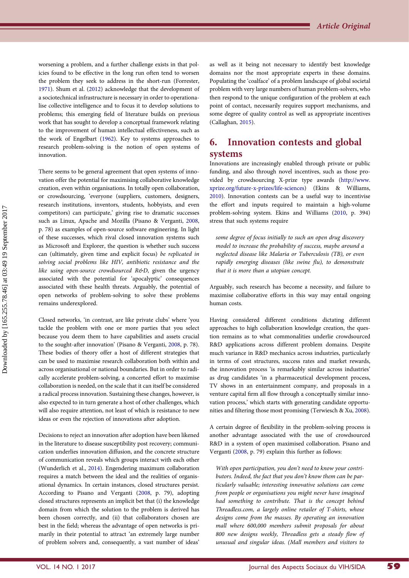<span id="page-7-0"></span>worsening a problem, and a further challenge exists in that policies found to be effective in the long run often tend to worsen the problem they seek to address in the short-run (Forrester, [1971](#page-11-0)). Shum et al. [\(2012\)](#page-11-0) acknowledge that the development of a sociotechnical infrastructure is necessary in order to operationalise collective intelligence and to focus it to develop solutions to problems; this emerging field of literature builds on previous work that has sought to develop a conceptual framework relating to the improvement of human intellectual effectiveness, such as the work of Engelbart ([1962\)](#page-11-0). Key to systems approaches to research problem-solving is the notion of open systems of innovation.

There seems to be general agreement that open systems of innovation offer the potential for maximising collaborative knowledge creation, even within organisations. In totally open collaboration, or crowdsourcing, 'everyone (suppliers, customers, designers, research institutions, inventors, students, hobbyists, and even competitors) can participate,' giving rise to dramatic successes such as Linux, Apache and Mozilla (Pisano & Verganti, [2008](#page-11-0), p. 78) as examples of open-source software engineering. In light of these successes, which rival closed innovation systems such as Microsoft and Explorer, the question is whether such success can (ultimately, given time and explicit focus) be replicated in solving social problems like HIV, antibiotic resistance and the like using open-source crowdsourced R&D, given the urgency associated with the potential for 'apocalyptic' consequences associated with these health threats. Arguably, the potential of open networks of problem-solving to solve these problems remains underexplored.

Closed networks, 'in contrast, are like private clubs' where 'you tackle the problem with one or more parties that you select because you deem them to have capabilities and assets crucial to the sought-after innovation' (Pisano & Verganti, [2008](#page-11-0), p. 78). These bodies of theory offer a host of different strategies that can be used to maximise research collaboration both within and across organisational or national boundaries. But in order to radically accelerate problem-solving, a concerted effort to maximise collaboration is needed, on the scale that it can itself be considered a radical process innovation. Sustaining these changes, however, is also expected to in turn generate a host of other challenges, which will also require attention, not least of which is resistance to new ideas or even the rejection of innovations after adoption.

Decisions to reject an innovation after adoption have been likened in the literature to disease susceptibility post recovery; communication underlies innovation diffusion, and the concrete structure of communication reveals which groups interact with each other (Wunderlich et al., [2014\)](#page-11-0). Engendering maximum collaboration requires a match between the ideal and the realities of organisational dynamics. In certain instances, closed structures persist. According to Pisano and Verganti [\(2008,](#page-11-0) p. 79), adopting closed structures represents an implicit bet that (i) the knowledge domain from which the solution to the problem is derived has been chosen correctly, and (ii) that collaborators chosen are best in the field; whereas the advantage of open networks is primarily in their potential to attract 'an extremely large number of problem solvers and, consequently, a vast number of ideas'

as well as it being not necessary to identify best knowledge domains nor the most appropriate experts in these domains. Populating the 'coalface' of a problem landscape of global societal problem with very large numbers of human problem-solvers, who then respond to the unique configuration of the problem at each point of contact, necessarily requires support mechanisms, and some degree of quality control as well as appropriate incentives (Callaghan, [2015](#page-11-0)).

## 6. Innovation contests and global systems

Innovations are increasingly enabled through private or public funding, and also through novel incentives, such as those provided by crowdsourcing X-prize type awards [\(http://www.](http://www.xprize.org/future-x-prizes/life-sciences) [xprize.org/future-x-prizes/life-sciences](http://www.xprize.org/future-x-prizes/life-sciences)) (Ekins & Williams, [2010](#page-11-0)). Innovation contests can be a useful way to incentivise the effort and inputs required to maintain a high-volume problem-solving system. Ekins and Williams [\(2010,](#page-11-0) p. 394) stress that such systems require

some degree of focus initially to such an open drug discovery model to increase the probability of success, maybe around a neglected disease like Malaria or Tuberculosis (TB), or even rapidly emerging diseases (like swine flu), to demonstrate that it is more than a utopian concept.

Arguably, such research has become a necessity, and failure to maximise collaborative efforts in this way may entail ongoing human costs.

Having considered different conditions dictating different approaches to high collaboration knowledge creation, the question remains as to what commonalities underlie crowdsourced R&D applications across different problem domains. Despite much variance in R&D mechanics across industries, particularly in terms of cost structures, success rates and market rewards, the innovation process 'is remarkably similar across industries' as drug candidates 'in a pharmaceutical development process, TV shows in an entertainment company, and proposals in a venture capital firm all flow through a conceptually similar innovation process,' which starts with generating candidate opportunities and filtering those most promising (Terwiesch & Xu, [2008](#page-11-0)).

A certain degree of flexibility in the problem-solving process is another advantage associated with the use of crowdsourced R&D in a system of open maximised collaboration. Pisano and Verganti [\(2008](#page-11-0), p. 79) explain this further as follows:

With open participation, you don't need to know your contributors. Indeed, the fact that you don't know them can be particularly valuable; interesting innovative solutions can come from people or organisations you might never have imagined had something to contribute. That is the concept behind Threadless.com, a largely online retailer of T-shirts, whose designs come from the masses. By operating an innovation mall where 600,000 members submit proposals for about 800 new designs weekly, Threadless gets a steady flow of unusual and singular ideas. (Mall members and visitors to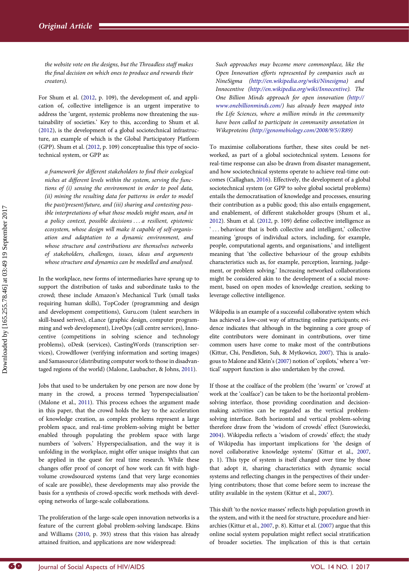<span id="page-8-0"></span>the website vote on the designs, but the Threadless staff makes the final decision on which ones to produce and rewards their creators).

For Shum et al. [\(2012](#page-11-0), p. 109), the development of, and application of, collective intelligence is an urgent imperative to address the 'urgent, systemic problems now threatening the sustainability of societies.' Key to this, according to Shum et al. [\(2012](#page-11-0)), is the development of a global sociotechnical infrastructure, an example of which is the Global Participatory Platform (GPP). Shum et al. [\(2012](#page-11-0), p. 109) conceptualise this type of sociotechnical system, or GPP as:

a framework for different stakeholders to find their ecological niches at different levels within the system, serving the functions of (i) sensing the environment in order to pool data, (ii) mining the resulting data for patterns in order to model the past/present/future, and (iii) sharing and contesting possible interpretations of what those models might mean, and in a policy context, possible decisions ... a resilient, epistemic ecosystem, whose design will make it capable of self-organisation and adaptation to a dynamic environment, and whose structure and contributions are themselves networks of stakeholders, challenges, issues, ideas and arguments whose structure and dynamics can be modelled and analysed.

In the workplace, new forms of intermediaries have sprung up to support the distribution of tasks and subordinate tasks to the crowd; these include Amazon's Mechanical Turk (small tasks requiring human skills), TopCoder (programming and design and development competitions), Guru.com (talent searchers in skill-based serives), eLance (graphic design, computer programming and web development), LiveOps (call centre services), Innocentive (competitions in solving science and technology problems), oDesk (services), CastingWords (transcription services), Crowdflower (verifying information and sorting images) and Samasource (distributing computer work to those in disadvantaged regions of the world) (Malone, Laubacher, & Johns, [2011\)](#page-11-0).

Jobs that used to be undertaken by one person are now done by many in the crowd, a process termed 'hyperspecialisation' (Malone et al., [2011](#page-11-0)). This process echoes the argument made in this paper, that the crowd holds the key to the acceleration of knowledge creation, as complex problems represent a large problem space, and real-time problem-solving might be better enabled through populating the problem space with large numbers of 'solvers.' Hyperspecialisation, and the way it is unfolding in the workplace, might offer unique insights that can be applied in the quest for real time research. While these changes offer proof of concept of how work can fit with highvolume crowdsourced systems (and that very large economies of scale are possible), these developments may also provide the basis for a synthesis of crowd-specific work methods with developing networks of large-scale collaborations.

The proliferation of the large-scale open innovation networks is a feature of the current global problem-solving landscape. Ekins and Williams ([2010,](#page-11-0) p. 393) stress that this vision has already attained fruition, and applications are now widespread:

Such approaches may become more commonplace, like the Open Innovation efforts represented by companies such as NineSigma ([http://en.wikipedia.org/wiki/Ninesigma\)](http://en.wikipedia.org/wiki/Ninesigma) and Innocentive [\(http://en.wikipedia.org/wiki/Innocentive\)](http://en.wikipedia.org/wiki/Innocentive). The One Billion Minds approach for open innovation [\(http://](http://www.onebillionminds.com/) [www.onebillionminds.com/](http://www.onebillionminds.com/)) has already been mapped into the Life Sciences, where a million minds in the community have been called to participate in community annotation in Wikeproteins ([http://genomebiology.com/2008/9/5//R89\)](http://genomebiology.com/2008/9/5//R89)

To maximise collaborations further, these sites could be networked, as part of a global sociotechnical system. Lessons for real-time response can also be drawn from disaster management, and how sociotechnical systems operate to achieve real-time outcomes (Callaghan, [2016\)](#page-11-0). Effectively, the development of a global sociotechnical system (or GPP to solve global societal problems) entails the democratisation of knowledge and processes, ensuring their contribution as a public good; this also entails engagement, and enablement, of different stakeholder groups (Shum et al., [2012](#page-11-0)). Shum et al. [\(2012,](#page-11-0) p. 109) define collective intelligence as ' ... behaviour that is both collective and intelligent,' collective meaning 'groups of individual actors, including, for example, people, computational agents, and organisations,' and intelligent meaning that 'the collective behaviour of the group exhibits characteristics such as, for example, perception, learning, judgement, or problem solving.' Increasing networked collaborations might be considered akin to the development of a social movement, based on open modes of knowledge creation, seeking to leverage collective intelligence.

Wikipedia is an example of a successful collaborative system which has achieved a low-cost way of attracting online participants; evidence indicates that although in the beginning a core group of elite contributors were dominant in contributions, over time common users have come to make most of the contributions (Kittur, Chi, Pendleton, Suh, & Mytkowicz, [2007](#page-11-0)). This is analogous to Malone and Klein's [\(2007](#page-11-0)) notion of 'copilots,' where a 'vertical' support function is also undertaken by the crowd.

If those at the coalface of the problem (the 'swarm' or 'crowd' at work at the 'coalface') can be taken to be the horizontal problemsolving interface, those providing coordination and decisionmaking activities can be regarded as the vertical problemsolving interface. Both horizontal and vertical problem-solving therefore draw from the 'wisdom of crowds' effect (Surowiecki, [2004](#page-11-0)). Wikipedia reflects a 'wisdom of crowds' effect; the study of Wikipedia has important implications for 'the design of novel collaborative knowledge systems' (Kittur et al., [2007](#page-11-0), p. 1). This type of system is itself changed over time by those that adopt it, sharing characteristics with dynamic social systems and reflecting changes in the perspectives of their underlying contributors; those that come before seem to increase the utility available in the system (Kittur et al., [2007](#page-11-0)).

This shift 'to the novice masses' reflects high population growth in the system, and with it the need for structure, procedure and hierarchies (Kittur et al., [2007,](#page-11-0) p. 8). Kittur et al. ([2007](#page-11-0)) argue that this online social system population might reflect social stratification of broader societies. The implication of this is that certain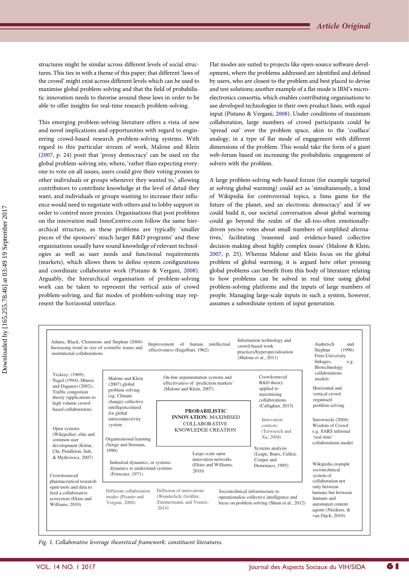<span id="page-9-0"></span>structures might be similar across different levels of social structures. This ties in with a theme of this paper; that different 'laws of the crowd' might exist across different levels which can be used to maximise global problem-solving and that the field of probabilistic innovation needs to theorise around these laws in order to be able to offer insights for real-time research problem-solving.

This emerging problem-solving literature offers a vista of new and novel implications and opportunities with regard to engineering crowd-based research problem-solving systems. With regard to this particular stream of work, Malone and Klein [\(2007,](#page-11-0) p. 24) posit that 'proxy democracy' can be used on the global problem-solving site, where, 'rather than expecting everyone to vote on all issues, users could give their voting proxies to other individuals or groups whenever they wanted to,' allowing contributors to contribute knowledge at the level of detail they want, and individuals or groups wanting to increase their influence would need to negotiate with others and to lobby support in order to control more proxies. Organisations that post problems on the innovation mall InnoCentive.com follow the same hierarchical structure, as these problems are typically 'smaller pieces of the sponsors' much larger R&D programs' and these organisations usually have sound knowledge of relevant technologies as well as user needs and functional requirements (markets), which allows them to define system configurations and coordinate collaborator work (Pistano & Vergani, [2008\)](#page-11-0). Arguably, the hierarchical organisation of problem-solving work can be taken to represent the vertical axis of crowd problem-solving, and flat modes of problem-solving may represent the horizontal interface.

Flat modes are suited to projects like open-source software development, where the problems addressed are identified and defined by users, who are closest to the problem and best placed to devise and test solutions; another example of a flat mode is IBM's microelectronics consortia, which enables contributing organisations to use developed technologies in their own product lines, with equal input (Pistano & Vergani, [2008\)](#page-11-0). Under conditions of maximum collaboration, large numbers of crowd participants could be 'spread out' over the problem space, akin to the 'coalface' analogy, in a type of flat mode of engagement with different dimensions of the problem. This would take the form of a giant web-forum based on increasing the probabilistic engagement of solvers with the problem.

A large problem-solving web-based forum (for example targeted at solving global warming) could act as 'simultaneously, a kind of Wikipedia for controversial topics, a Sims game for the future of the planet, and an electronic democracy' and 'if we could build it, our societal conversation about global warming could go beyond the realm of the all-too-often emotionallydriven yes/no votes about small numbers of simplified alternatives,' facilitating 'reasoned and evidence-based collective decision-making about highly complex issues' (Malone & Klein, [2007](#page-11-0), p. 25). Whereas Malone and Klein focus on the global problem of global warming, it is argued here other pressing global problems can benefit from this body of literature relating to how problems can be solved in real time using global problem-solving platforms and the inputs of large numbers of people. Managing large-scale inputs in such a system, however, assumes a subordinate system of input generation.

| Adams, Black, Clemmons and Stephan (2004)<br>Increasing trend in size of scientific teams and<br>institutional collaborations                                                       |                                                                                                                                        | Improvement of human<br>intellectual<br>effectiveness (Engelbart, 1962)                                                                                                              |  | Information technology and<br>crowd-based work<br>practices/hyperspecialisation<br>(Malone et al., 2011)                                                  | Audretsch<br>and<br>(1996)<br>Stephan<br>Firm-University<br>linkages,<br>e.g.<br>Biotechnology                       |
|-------------------------------------------------------------------------------------------------------------------------------------------------------------------------------------|----------------------------------------------------------------------------------------------------------------------------------------|--------------------------------------------------------------------------------------------------------------------------------------------------------------------------------------|--|-----------------------------------------------------------------------------------------------------------------------------------------------------------|----------------------------------------------------------------------------------------------------------------------|
| Vickrey, (1969);<br>Nagel (1994); Munoz<br>and Daganzo (2002);<br>Traffic congestion<br>theory (applications to                                                                     | Malone and Klein<br>$(2007)$ global<br>problem solving<br>(eg. Climate                                                                 | On-line argumentation systems and<br>effectiveness of 'prediction markets'<br>(Malone and Klein, 2007)                                                                               |  | Crowdsourced<br>R&D theory<br>applied to<br>maximising<br>collaborations                                                                                  | collaborations<br>models<br>Horizontal and<br>vertical crowd<br>organised                                            |
| high volume crowd-<br>based collaboration)<br>Open systems<br>(Wikipedia): elite and<br>common user<br>development (Kittur,                                                         | change) collective<br>intelligence/need<br>for global<br>interconnectivity<br>system<br>Organisational learning<br>(Senge and Sterman, | <b>PROBABILISTIC</b><br><b>INNOVATION: MAXIMISED</b><br><b>COLLABORATIVE</b><br><b>KNOWLEDGE CREATION</b><br>Large-scale open<br>innovation networks<br>(Ekins and Williams,<br>2010 |  | (Callaghan, 2015)<br>Innovation<br>contests<br>(Terwiesch and<br>Xu, 2008)<br>Systems analysis<br>(Leape, Bates, Cullen,<br>Cooper and<br>Demonaco, 1995) | problem solving<br>Surowiecki (2004)<br>Wisdom of Crowd<br>e.g. SARS informal<br>'real time'<br>collaborations model |
| Chi, Pendleton, Suh,<br>& Mytkowicz, 2007)<br>Crowdsourced<br>pharmaceutical research:<br>open tools and data to<br>feed a collaborative<br>ecosystem (Ekins and<br>Williams, 2010) | 1990)<br>Industrial dynamics, or systems<br>dynamics to understand systems<br>(Forrester, 1971)                                        |                                                                                                                                                                                      |  |                                                                                                                                                           | Wikipedia example<br>sociotechnical<br>system of<br>collaboration not                                                |
|                                                                                                                                                                                     | Different collaboration<br>modes (Pisanto and<br>Vergani, 2008)                                                                        | Diffusion of innovations<br>(Wunderlich, Größler,<br>Zimmermann, and Vennix,<br>2014                                                                                                 |  | Sociotechnical infrastructure to<br>operationalise collective intelligence and<br>focus on problem solving (Shum et al., 2012)                            | only between<br>humans but between<br>humans and<br>automated content<br>agents (Niederer, &<br>van Dijck, 2010).    |

Fig. 1. Collaborative leverage theoretical framework: constituent literatures.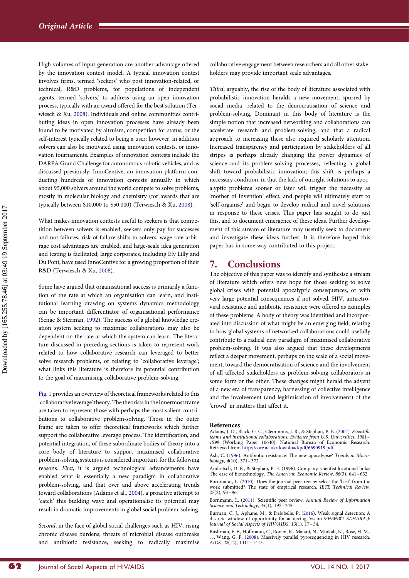<span id="page-10-0"></span>High volumes of input generation are another advantage offered by the innovation contest model. A typical innovation contest involves firms, termed 'seekers' who post innovation-related, or technical, R&D problems, for populations of independent agents, termed 'solvers,' to address using an open innovation process, typically with an award offered for the best solution (Terwiesch & Xu, [2008](#page-11-0)). Individuals and online communities contributing ideas in open innovation processes have already been found to be motivated by altruism, competition for status, or the self-interest typically related to being a user; however, in addition solvers can also be motivated using innovation contests, or innovation tournaments. Examples of innovation contests include the DARPA Grand Challenge for autonomous robotic vehicles, and as discussed previously, InnoCentive, an innovation platform conducting hundreds of innovation contests annually in which about 95,000 solvers around the world compete to solve problems, mostly in molecular biology and chemistry (for awards that are typically between \$10,000 to \$50,000) (Terwiesch & Xu, [2008](#page-11-0)).

What makes innovation contests useful to seekers is that competition between solvers is enabled, seekers only pay for successes and not failures, risk of failure shifts to solvers, wage-rate arbitrage cost advantages are enabled, and large-scale idea generation and testing is facilitated; large corporates, including Ely Lilly and Du Pont, have used InnoCentive for a growing proportion of their R&D (Terwiesch & Xu, [2008](#page-11-0)).

Some have argued that organisational success is primarily a function of the rate at which an organisation can learn, and institutional learning drawing on systems dynamics methodology can be important differentiator of organisational performance (Senge & Sterman, [1992\)](#page-11-0). The success of a global knowledge creation system seeking to maximise collaborations may also be dependent on the rate at which the system can learn. The literature discussed in preceding sections is taken to represent work related to how collaborative research can leveraged to better solve research problems, or relating to 'collaborative leverage'; what links this literature is therefore its potential contribution to the goal of maximising collaborative problem-solving.

[Fig. 1](#page-9-0) provides an overview of theoretical frameworks related to this 'collaborative leverage' theory. The theorists in the innermost frame are taken to represent those with perhaps the most salient contributions to collaborative problem-solving. Those in the outer frame are taken to offer theoretical frameworks which further support the collaborative leverage process. The identification, and potential integration, of these subordinate bodies of theory into a core body of literature to support maximised collaborative problem-solving systems is considered important, for the following reasons. First, it is argued technological advancements have enabled what is essentially a new paradigm in collaborative problem-solving, and that over and above accelerating trends toward collaborations (Adams et al., 2004), a proactive attempt to 'catch' this building wave and operationalise its potential may result in dramatic improvements in global social problem-solving.

Second, in the face of global social challenges such as HIV, rising chronic disease burdens, threats of microbial disease outbreaks and antibiotic resistance, seeking to radically maximise

collaborative engagement between researchers and all other stakeholders may provide important scale advantages.

Third; arguably, the rise of the body of literature associated with probabilistic innovation heralds a new movement, spurred by social media, related to the democratisation of science and problem-solving. Dominant in this body of literature is the simple notion that increased networking and collaborations can accelerate research and problem-solving, and that a radical approach to increasing these also required scholarly attention. Increased transparency and participation by stakeholders of all stripes is perhaps already changing the power dynamics of science and its problem-solving processes, reflecting a global shift toward probabilistic innovation; this shift is perhaps a necessary condition, in that the lack of outright solutions to apocalyptic problems sooner or later will trigger the necessity as 'mother of invention' effect, and people will ultimately start to 'self-organise' and begin to develop radical and novel solutions in response to these crises. This paper has sought to do just this, and to document emergence of these ideas. Further development of this stream of literature may usefully seek to document and investigate these ideas further. It is therefore hoped this paper has in some way contributed to this project.

## 7. Conclusions

The objective of this paper was to identify and synthesise a stream of literature which offers new hope for those seeking to solve global crises with potential apocalyptic consequences, or with very large potential consequences if not solved. HIV, antiretroviral resistance and antibiotic resistance were offered as examples of these problems. A body of theory was identified and incorporated into discussion of what might be an emerging field, relating to how global systems of networked collaborations could usefully contribute to a radical new paradigm of maximised collaborative problem-solving. It was also argued that these developments reflect a deeper movement, perhaps on the scale of a social movement, toward the democratisation of science and the involvement of all affected stakeholders as problem-solving collaborators in some form or the other. These changes might herald the advent of a new era of transparency, harnessing of collective intelligence and the involvement (and legitimisation of involvement) of the 'crowd' in matters that affect it.

#### References

Adams, J. D., Black, G. C., Clemmons, J. R., & Stephan, P. E. [\(2004\)](#page-4-0). Scientific teams and institutional collaborations: Evidence from U.S. Universities, 1981 – 1999 (Working Paper 10640). National Bureau of Economic Research. Retrieved from <http://core.ac.uk/download/pdf/6690919.pdf>

Ash, C. ([1996](#page-2-0)). Antibiotic resistance: The new apocalypse? Trends in Microbiology, 4(10), 371–372.

Audretsch, D. B., & Stephan, P. E. (1996). Company-scientist locational links: The case of biotechnology. The American Economic Review, 86(3), 641–652.

Bornmann, L. [\(2010\)](#page-2-0). Does the journal peer review select the 'best' from the work submitted? The state of empirical research. IETE Technical Review, 27(2), 93–96.

Bornmann, L. [\(2011\)](#page-2-0). Scientific peer review. Annual Review of Information Science and Technology, 45(1), 197-245.

Burman, C. J., Aphane, M., & Delobelle, P. ([2016\)](#page-2-0). Weak signal detection: A discrete window of opportunity for achieving 'vision 90:90:90'? SAHARA-J: Journal of Social Aspects of HIV/AIDS, 13(1), 17–34.

Bushman, F. F., Hoffmann, C., Ronen, K., Malani, N., Minkah, N., Rose, H. M., ... Wang, G. P. ([2008](#page-4-0)). Massively parallel pyrosequencing in HIV research. AIDS,  $22(12)$ ,  $1411 - 1415$ .